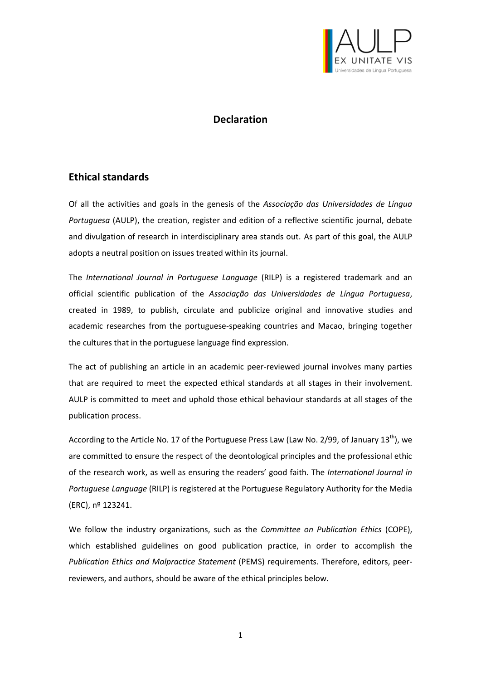

## **Declaration**

# **Ethical standards**

Of all the activities and goals in the genesis of the *Associação das Universidades de Língua Portuguesa* (AULP), the creation, register and edition of a reflective scientific journal, debate and divulgation of research in interdisciplinary area stands out. As part of this goal, the AULP adopts a neutral position on issues treated within its journal.

The *International Journal in Portuguese Language* (RILP) is a registered trademark and an official scientific publication of the *Associação das Universidades de Língua Portuguesa*, created in 1989, to publish, circulate and publicize original and innovative studies and academic researches from the portuguese-speaking countries and Macao, bringing together the cultures that in the portuguese language find expression.

The act of publishing an article in an academic peer-reviewed journal involves many parties that are required to meet the expected ethical standards at all stages in their involvement. AULP is committed to meet and uphold those ethical behaviour standards at all stages of the publication process.

According to the Article No. 17 of the Portuguese Press Law (Law No. 2/99, of January 13<sup>th</sup>), we are committed to ensure the respect of the deontological principles and the professional ethic of the research work, as well as ensuring the readers' good faith. The *International Journal in Portuguese Language* (RILP) is registered at the Portuguese Regulatory Authority for the Media (ERC), nº 123241.

We follow the industry organizations, such as the *Committee on Publication Ethics* (COPE), which established guidelines on good publication practice, in order to accomplish the *Publication Ethics and Malpractice Statement* (PEMS) requirements. Therefore, editors, peerreviewers, and authors, should be aware of the ethical principles below.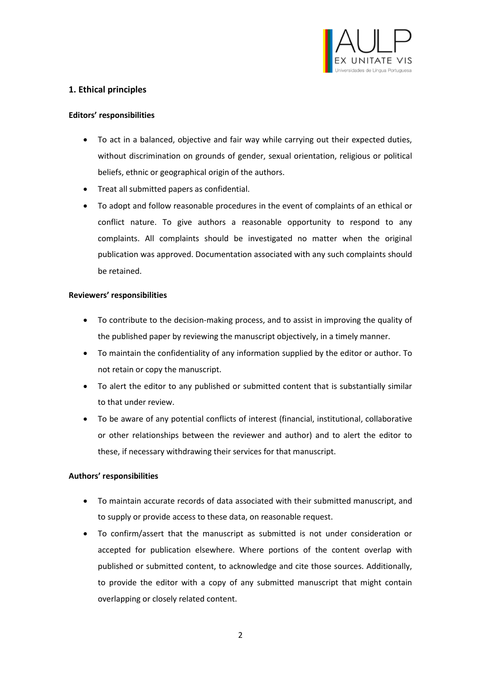

### **1. Ethical principles**

### **Editors' responsibilities**

- To act in a balanced, objective and fair way while carrying out their expected duties, without discrimination on grounds of gender, sexual orientation, religious or political beliefs, ethnic or geographical origin of the authors.
- Treat all submitted papers as confidential.
- To adopt and follow reasonable procedures in the event of complaints of an ethical or conflict nature. To give authors a reasonable opportunity to respond to any complaints. All complaints should be investigated no matter when the original publication was approved. Documentation associated with any such complaints should be retained.

### **Reviewers' responsibilities**

- To contribute to the decision-making process, and to assist in improving the quality of the published paper by reviewing the manuscript objectively, in a timely manner.
- To maintain the confidentiality of any information supplied by the editor or author. To not retain or copy the manuscript.
- To alert the editor to any published or submitted content that is substantially similar to that under review.
- To be aware of any potential conflicts of interest (financial, institutional, collaborative or other relationships between the reviewer and author) and to alert the editor to these, if necessary withdrawing their services for that manuscript.

### **Authors' responsibilities**

- To maintain accurate records of data associated with their submitted manuscript, and to supply or provide access to these data, on reasonable request.
- To confirm/assert that the manuscript as submitted is not under consideration or accepted for publication elsewhere. Where portions of the content overlap with published or submitted content, to acknowledge and cite those sources. Additionally, to provide the editor with a copy of any submitted manuscript that might contain overlapping or closely related content.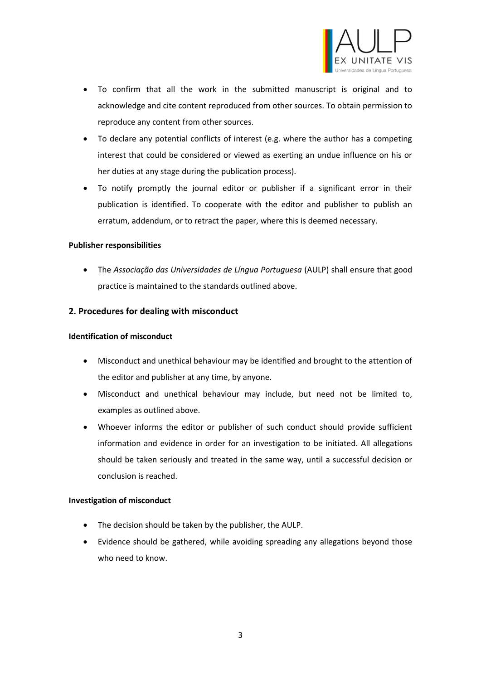

- To confirm that all the work in the submitted manuscript is original and to acknowledge and cite content reproduced from other sources. To obtain permission to reproduce any content from other sources.
- To declare any potential conflicts of interest (e.g. where the author has a competing interest that could be considered or viewed as exerting an undue influence on his or her duties at any stage during the publication process).
- To notify promptly the journal editor or publisher if a significant error in their publication is identified. To cooperate with the editor and publisher to publish an erratum, addendum, or to retract the paper, where this is deemed necessary.

### **Publisher responsibilities**

 The *Associação das Universidades de Língua Portuguesa* (AULP) shall ensure that good practice is maintained to the standards outlined above.

### **2. Procedures for dealing with misconduct**

#### **Identification of misconduct**

- Misconduct and unethical behaviour may be identified and brought to the attention of the editor and publisher at any time, by anyone.
- Misconduct and unethical behaviour may include, but need not be limited to, examples as outlined above.
- Whoever informs the editor or publisher of such conduct should provide sufficient information and evidence in order for an investigation to be initiated. All allegations should be taken seriously and treated in the same way, until a successful decision or conclusion is reached.

#### **Investigation of misconduct**

- The decision should be taken by the publisher, the AULP.
- Evidence should be gathered, while avoiding spreading any allegations beyond those who need to know.